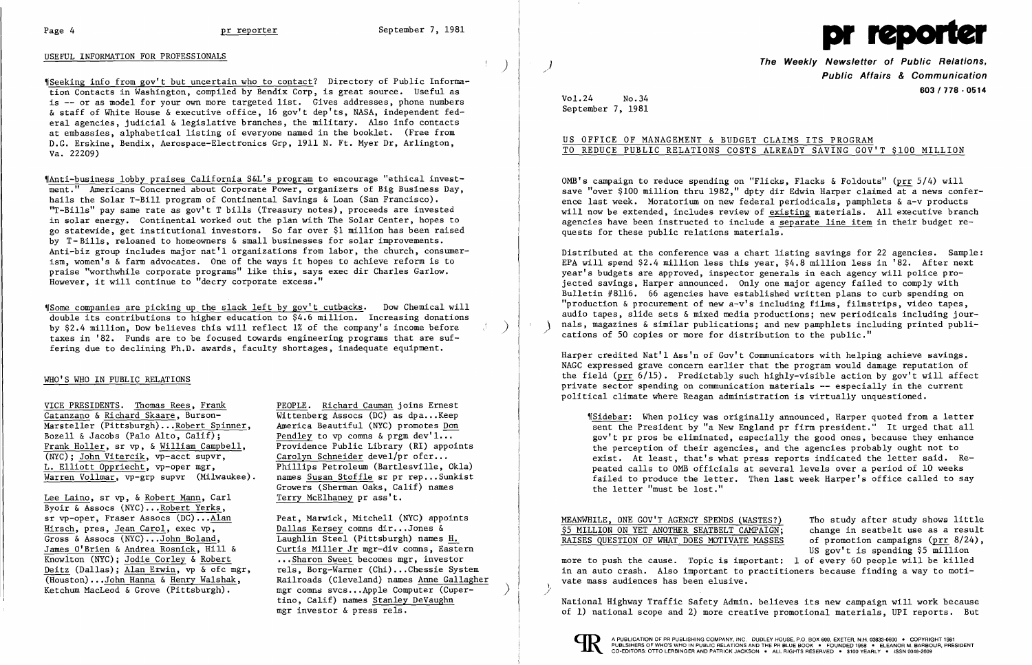

### USEFUL INFORMATION FOR PROFESSIONALS

'ISeeking info from gov't but uncertain who to contact? Directory of Public Information Contacts in Washington, compiled by Bendix Corp, is great source. Useful as is -- or as model for your own more targeted list. Gives addresses, phone numbers & staff of White House & executive office, 16 gov't dep'ts, NASA, independent federal agencies, judicial & legislative branches, the military. Also info contacts at embassies, alphabetical listing of everyone named in the booklet. (Free from D.G. Erskine, Bendix, Aerospace-Electronics Grp, 1911 N. Ft. Myer Dr, Arlington, Va. 22209)

 $$$ Some companies are picking up the slack left by gov't cutbacks. Dow Chemical will double its contributions to higher education to \$4.6 million. Increasing donations by \$2.4 million, Dow believes this will reflect 1% of the company's income before ) taxes in '82. Funds are to be focused towards engineering programs that are suffering due to declining Ph.D. awards, faculty shortages, inadequate equipment.

'IAnti-business lobby praises California S&L's program to encourage "ethical investment." Americans Concerned about Corporate Power, organizers of Big Business Day, hails the Solar T-Bill program of Continental Savings & Loan (San Francisco). "T-Bills" pay same rate as gov't T bills (Treasury notes), proceeds are invested in solar energy. Continental worked out the plan with The Solar Center, hopes to go statewide, get institutional investors. So far over \$1 million has been raised by T- Bills, reloaned to homeowners & small businesses for solar improvements. Anti-biz group includes major nat'l organizations from labor, the church, consumerism, women's & farm advocates. One of the ways it hopes to achieve reform is to praise "worthwhile corporate programs" like this, says exec dir Charles Garlow. However, it will continue to "decry corporate excess."

Lee Laino, sr vp, & Robert Mann, Carl Byoir & Assocs (NYC)...Robert Yerks, sr vp-oper, Fraser Assocs (DC)...Alan Hirsch, pres, Jean Carol, exec vp, Gross & Assocs (NYC)...John Boland, James O'Brien & Andrea Rosnick, Hill & Knowlton (NYC); Jodie Corley & Robert Deitz (Dallas); Alan Erwin, vp & ofc mgr, (Houston) •.•John Hanna & Henry Walshak, Ketchum MacLeod & Grove (Pittsburgh). ٦

**The Weekly Newsletter of Public Relations,** / **Public Affairs & Communication 603/778 - 0514** 

OMB's campaign to reduce spending on "Flicks, Flacks & Foldouts" (prr 5/4) will save "over \$100 million thru 1982," dpty dir Edwin Harper claimed at a news conference last week. Moratorium on new federal periodicals, pamphlets & a-v products will now be extended, includes review of existing materials. All executive branch agencies have been instructed to include a separate line item in their budget requests for these public relations materials.

Distributed at the conference was a chart listing savings for 22 agencies. Sample: EPA will spend \$2.4 million less this year, \$4.8 million less in '82. After next year's budgets are approved, inspector generals in each agency will police projected savings, Harper announced. Only one major agency failed to comply with Bulletin #8116. 66 agencies have established written plans to curb spending on "production  $\&$  procurement of new  $a-v's$  including films, filmstrips, video tapes, audio tapes, slide sets & mixed media productions; new periodicals including journals, magazines & similar publications; and new pamphlets including printed publi-<br>cations of 50 copies or more for distribution to the public."

### WHO'S WHO IN PUBLIC RELATIONS

VICE PRESIDENTS. Thomas Rees, Frank Catanzano & Richard Skaare, Burson Marsteller (Pittsburgh)...Robert Spinner, Bozell & Jacobs (Palo Alto, Calif); ٦ Frank Holler, sr vp, & William Campbell, (NYC); John Vitercik, vp-acct supvr, L. Elliott Oppriecht, vp-oper mgr, Warren Vollmar, vp-grp supvr (Milwaukee). PEOPLE. Richard Cauman joins Ernest  $W$ ittenberg Assocs (DC) as dpa... Keep America Beautiful (NYC) promotes Don Pendley to vp comns  $\&$  prgm dev'1... Providence Public Library (RI) appoints Carolyn Schneider devel/pr ofcr... Phillips Petroleum (Bartlesville, Okla) names Susan Stoffle sr pr rep...Sunkist Growers (Sherman Oaks, Calif) names Terry McElhaney pr ass't.

1Sidebar: When policy was originally announced, Harper quoted from a letter sent the President by "a New England pr firm president." It urged that all gov't pr pros be eliminated, especially the good ones, because they enhance the perception of their agencies, and the agencies probably ought not to exist. At least, that's what press reports indicated the letter said. Repeated calls to OMB officials at several levels over a period of 10 weeks failed to produce the letter. Then last week Harper's office called to say the letter "must be lost."

Peat, Marwick, Mitchell (NYC) appoints Dallas Kersey comns dir...Jones & Laughlin Steel (Pittsburgh) names Curtis Miller Jr mgr-div comns, Eastern ••• Sharon Sweet becomes mgr, investor rels, Borg-Warner (Chi)...Chessie System Railroads (Cleveland) names Anne Gallagher mgr comns svcs...Apple Computer (Cupertino, Calif) names Stanley DeVaughn mgr investor & press rels.

 $($   $)$ 

Vol.24 No.34 September 7, 1981

# US OFFICE OF MANAGEMENT & BUDGET CLAIMS ITS PROGRAM

TO REDUCE PUBLIC RELATIONS COSTS ALREADY SAVING GOV'T \$100 MILLION

Harper credited Nat'l Ass'n of Gov't Communicators with helping achieve savings. NAGC expressed grave concern earlier that the program would damage reputation of the field (prr 6/15). Predictably such highly-visible action by gov't will affect private sector spending on communication materials -- especially in the current political climate where Reagan administration is virtually unquestioned.

MEANWHILE, ONE GOV'T AGENCY SPENDS (WASTES?) \$5 MILLION ON YET ANOTHER SEATBELT CAMPAIGN: RAISES QUESTION OF WHAT DOES MOTIVATE MASSES Tho study after study shows little change in seatbelt use as a result of promotion campaigns ( $prr 8/24$ ), US gov't is spending \$5 million more to push the cause. Topic is important: 1 of every 60 people will be killed in an auto crash. Also important to practitioners because finding a way to motivate mass audiences has been elusive. \,

,/

National Highway Traffic Safety Admin. believes its new campaign will work because of 1) national scope and 2) more creative promotional materials, UPI reports. But